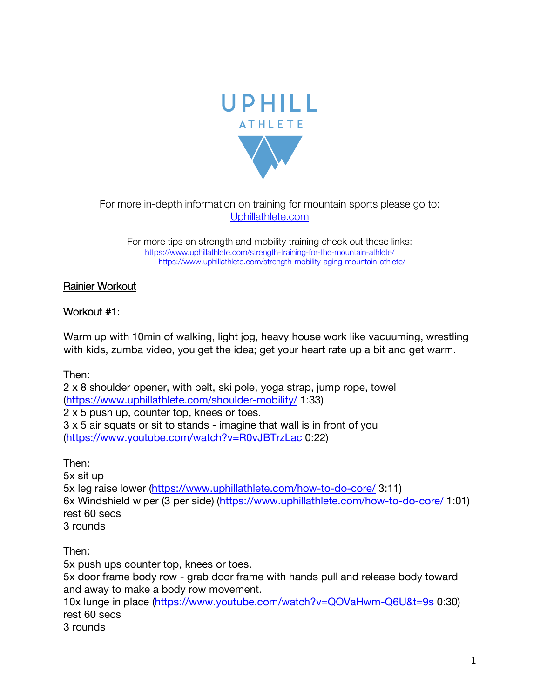

For more in-depth information on training for mountain sports please go to: Uphillathlete.com

For more tips on strength and mobility training check out these links: https://www.uphillathlete.com/strength-training-for-the-mountain-athlete/ https://www.uphillathlete.com/strength-mobility-aging-mountain-athlete/

## Rainier Workout

# Workout #1:

Warm up with 10min of walking, light jog, heavy house work like vacuuming, wrestling with kids, zumba video, you get the idea; get your heart rate up a bit and get warm.

Then:

2 x 8 shoulder opener, with belt, ski pole, yoga strap, jump rope, towel (https://www.uphillathlete.com/shoulder-mobility/ 1:33) 2 x 5 push up, counter top, knees or toes. 3 x 5 air squats or sit to stands - imagine that wall is in front of you (https://www.youtube.com/watch?v=R0vJBTrzLac 0:22)

Then:

5x sit up

5x leg raise lower (https://www.uphillathlete.com/how-to-do-core/ 3:11) 6x Windshield wiper (3 per side) (https://www.uphillathlete.com/how-to-do-core/ 1:01) rest 60 secs 3 rounds

Then:

5x push ups counter top, knees or toes. 5x door frame body row - grab door frame with hands pull and release body toward and away to make a body row movement. 10x lunge in place (https://www.youtube.com/watch?v=QOVaHwm-Q6U&t=9s 0:30) rest 60 secs 3 rounds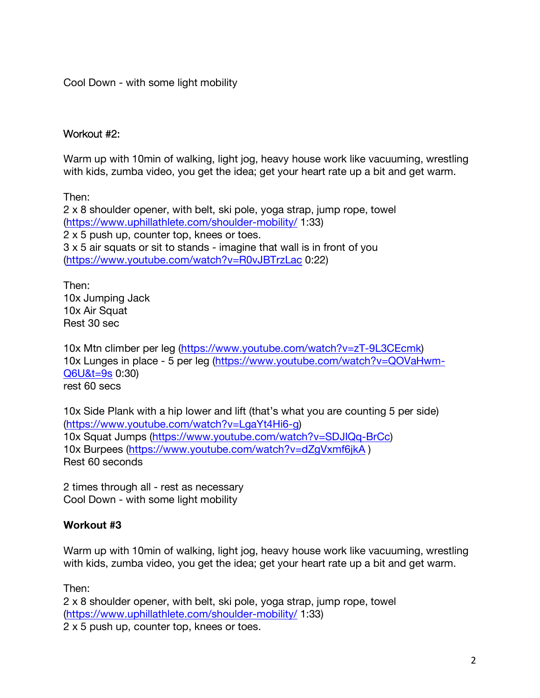Cool Down - with some light mobility

#### Workout #2:

Warm up with 10min of walking, light jog, heavy house work like vacuuming, wrestling with kids, zumba video, you get the idea; get your heart rate up a bit and get warm.

Then:

2 x 8 shoulder opener, with belt, ski pole, yoga strap, jump rope, towel (https://www.uphillathlete.com/shoulder-mobility/ 1:33) 2 x 5 push up, counter top, knees or toes. 3 x 5 air squats or sit to stands - imagine that wall is in front of you (https://www.youtube.com/watch?v=R0vJBTrzLac 0:22)

Then: 10x Jumping Jack 10x Air Squat Rest 30 sec

10x Mtn climber per leg (https://www.youtube.com/watch?v=zT-9L3CEcmk) 10x Lunges in place - 5 per leg (https://www.youtube.com/watch?v=QOVaHwm-Q6U&t=9s 0:30) rest 60 secs

10x Side Plank with a hip lower and lift (that's what you are counting 5 per side) (https://www.youtube.com/watch?v=LgaYt4Hi6-g) 10x Squat Jumps (https://www.youtube.com/watch?v=SDJIQq-BrCc) 10x Burpees (https://www.youtube.com/watch?v=dZgVxmf6jkA ) Rest 60 seconds

2 times through all - rest as necessary Cool Down - with some light mobility

#### **Workout #3**

Warm up with 10min of walking, light jog, heavy house work like vacuuming, wrestling with kids, zumba video, you get the idea; get your heart rate up a bit and get warm.

Then:

2 x 8 shoulder opener, with belt, ski pole, yoga strap, jump rope, towel (https://www.uphillathlete.com/shoulder-mobility/ 1:33) 2 x 5 push up, counter top, knees or toes.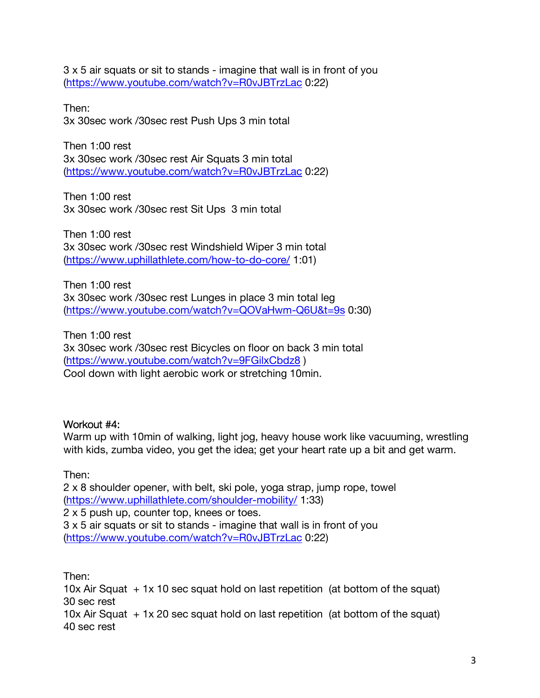3 x 5 air squats or sit to stands - imagine that wall is in front of you (https://www.youtube.com/watch?v=R0vJBTrzLac 0:22)

Then: 3x 30sec work /30sec rest Push Ups 3 min total

Then 1:00 rest 3x 30sec work /30sec rest Air Squats 3 min total (https://www.youtube.com/watch?v=R0vJBTrzLac 0:22)

Then 1:00 rest 3x 30sec work /30sec rest Sit Ups 3 min total

Then 1:00 rest 3x 30sec work /30sec rest Windshield Wiper 3 min total (https://www.uphillathlete.com/how-to-do-core/ 1:01)

Then 1:00 rest 3x 30sec work /30sec rest Lunges in place 3 min total leg (https://www.youtube.com/watch?v=QOVaHwm-Q6U&t=9s 0:30)

Then 1:00 rest 3x 30sec work /30sec rest Bicycles on floor on back 3 min total (https://www.youtube.com/watch?v=9FGilxCbdz8 ) Cool down with light aerobic work or stretching 10min.

#### Workout #4:

Warm up with 10min of walking, light jog, heavy house work like vacuuming, wrestling with kids, zumba video, you get the idea; get your heart rate up a bit and get warm.

Then:

2 x 8 shoulder opener, with belt, ski pole, yoga strap, jump rope, towel (https://www.uphillathlete.com/shoulder-mobility/ 1:33) 2 x 5 push up, counter top, knees or toes. 3 x 5 air squats or sit to stands - imagine that wall is in front of you (https://www.youtube.com/watch?v=R0vJBTrzLac 0:22)

Then: 10x Air Squat + 1x 10 sec squat hold on last repetition (at bottom of the squat) 30 sec rest 10x Air Squat  $+ 1x 20$  sec squat hold on last repetition (at bottom of the squat) 40 sec rest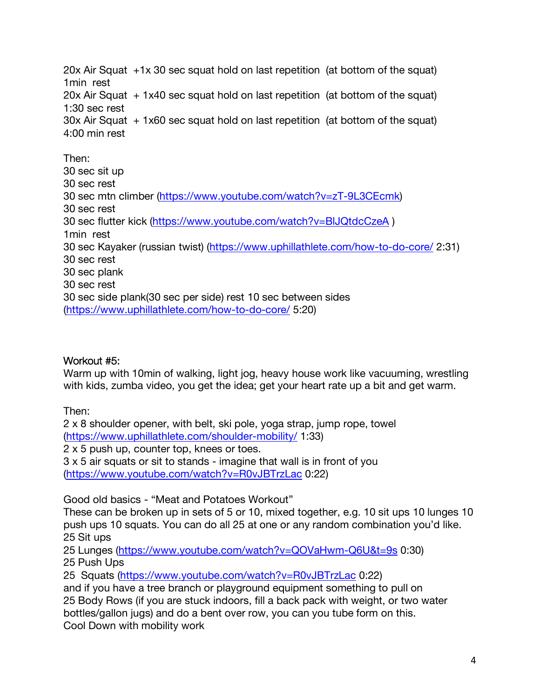20x Air Squat +1x 30 sec squat hold on last repetition (at bottom of the squat) 1min rest 20x Air Squat + 1x40 sec squat hold on last repetition (at bottom of the squat) 1:30 sec rest  $30x$  Air Squat  $+ 1x60$  sec squat hold on last repetition (at bottom of the squat) 4:00 min rest Then: 30 sec sit up

30 sec rest 30 sec mtn climber (https://www.youtube.com/watch?v=zT-9L3CEcmk) 30 sec rest 30 sec flutter kick (https://www.youtube.com/watch?v=BlJQtdcCzeA ) 1min rest 30 sec Kayaker (russian twist) (https://www.uphillathlete.com/how-to-do-core/ 2:31) 30 sec rest 30 sec plank 30 sec rest 30 sec side plank(30 sec per side) rest 10 sec between sides (https://www.uphillathlete.com/how-to-do-core/ 5:20)

## Workout #5:

Warm up with 10min of walking, light jog, heavy house work like vacuuming, wrestling with kids, zumba video, you get the idea; get your heart rate up a bit and get warm.

Then:

2 x 8 shoulder opener, with belt, ski pole, yoga strap, jump rope, towel (https://www.uphillathlete.com/shoulder-mobility/ 1:33)

2 x 5 push up, counter top, knees or toes.

3 x 5 air squats or sit to stands - imagine that wall is in front of you (https://www.youtube.com/watch?v=R0vJBTrzLac 0:22)

Good old basics - "Meat and Potatoes Workout"

These can be broken up in sets of 5 or 10, mixed together, e.g. 10 sit ups 10 lunges 10 push ups 10 squats. You can do all 25 at one or any random combination you'd like. 25 Sit ups

25 Lunges (https://www.youtube.com/watch?v=QOVaHwm-Q6U&t=9s 0:30) 25 Push Ups

25 Squats (https://www.youtube.com/watch?v=R0vJBTrzLac 0:22)

and if you have a tree branch or playground equipment something to pull on 25 Body Rows (if you are stuck indoors, fill a back pack with weight, or two water bottles/gallon jugs) and do a bent over row, you can you tube form on this. Cool Down with mobility work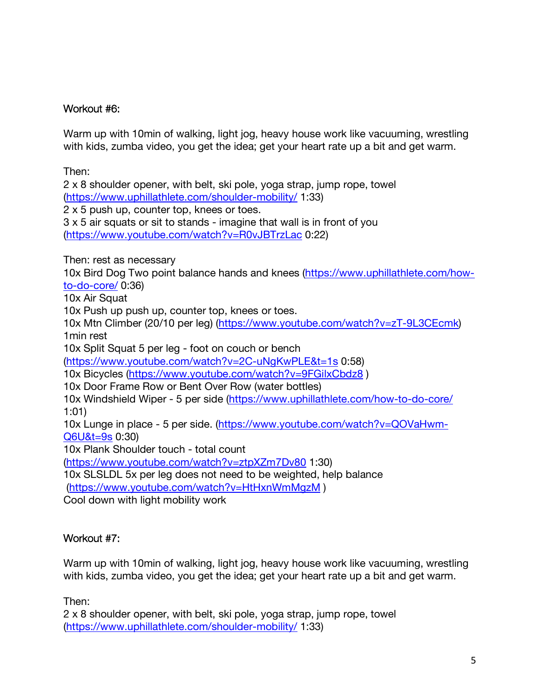### Workout #6:

Warm up with 10min of walking, light jog, heavy house work like vacuuming, wrestling with kids, zumba video, you get the idea; get your heart rate up a bit and get warm.

Then:

2 x 8 shoulder opener, with belt, ski pole, yoga strap, jump rope, towel (https://www.uphillathlete.com/shoulder-mobility/ 1:33)

2 x 5 push up, counter top, knees or toes.

3 x 5 air squats or sit to stands - imagine that wall is in front of you (https://www.youtube.com/watch?v=R0vJBTrzLac 0:22)

Then: rest as necessary

10x Bird Dog Two point balance hands and knees (https://www.uphillathlete.com/howto-do-core/ 0:36)

10x Air Squat

10x Push up push up, counter top, knees or toes.

10x Mtn Climber (20/10 per leg) (https://www.youtube.com/watch?v=zT-9L3CEcmk) 1min rest

10x Split Squat 5 per leg - foot on couch or bench

(https://www.youtube.com/watch?v=2C-uNgKwPLE&t=1s 0:58)

10x Bicycles (https://www.youtube.com/watch?v=9FGilxCbdz8 )

10x Door Frame Row or Bent Over Row (water bottles)

10x Windshield Wiper - 5 per side (https://www.uphillathlete.com/how-to-do-core/ 1:01)

10x Lunge in place - 5 per side. (https://www.youtube.com/watch?v=QOVaHwm-Q6U&t=9s 0:30)

10x Plank Shoulder touch - total count

(https://www.youtube.com/watch?v=ztpXZm7Dv80 1:30)

10x SLSLDL 5x per leg does not need to be weighted, help balance

(https://www.youtube.com/watch?v=HtHxnWmMgzM )

Cool down with light mobility work

## Workout #7:

Warm up with 10min of walking, light jog, heavy house work like vacuuming, wrestling with kids, zumba video, you get the idea; get your heart rate up a bit and get warm.

Then:

2 x 8 shoulder opener, with belt, ski pole, yoga strap, jump rope, towel (https://www.uphillathlete.com/shoulder-mobility/ 1:33)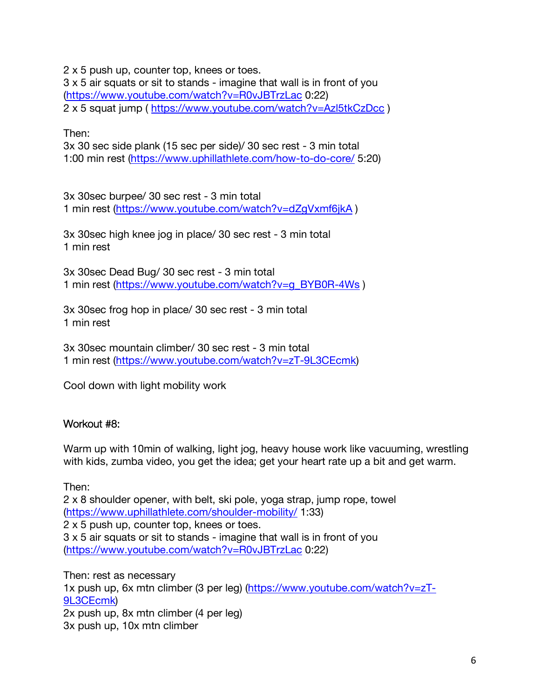2 x 5 push up, counter top, knees or toes.

3 x 5 air squats or sit to stands - imagine that wall is in front of you (https://www.youtube.com/watch?v=R0vJBTrzLac 0:22) 2 x 5 squat jump ( https://www.youtube.com/watch?v=Azl5tkCzDcc )

Then:

3x 30 sec side plank (15 sec per side)/ 30 sec rest - 3 min total 1:00 min rest (https://www.uphillathlete.com/how-to-do-core/ 5:20)

3x 30sec burpee/ 30 sec rest - 3 min total 1 min rest (https://www.youtube.com/watch?v=dZgVxmf6jkA )

3x 30sec high knee jog in place/ 30 sec rest - 3 min total 1 min rest

3x 30sec Dead Bug/ 30 sec rest - 3 min total 1 min rest (https://www.youtube.com/watch?v=g\_BYB0R-4Ws)

3x 30sec frog hop in place/ 30 sec rest - 3 min total 1 min rest

3x 30sec mountain climber/ 30 sec rest - 3 min total 1 min rest (https://www.youtube.com/watch?v=zT-9L3CEcmk)

Cool down with light mobility work

#### Workout #8:

Warm up with 10min of walking, light jog, heavy house work like vacuuming, wrestling with kids, zumba video, you get the idea; get your heart rate up a bit and get warm.

Then:

2 x 8 shoulder opener, with belt, ski pole, yoga strap, jump rope, towel (https://www.uphillathlete.com/shoulder-mobility/ 1:33) 2 x 5 push up, counter top, knees or toes. 3 x 5 air squats or sit to stands - imagine that wall is in front of you (https://www.youtube.com/watch?v=R0vJBTrzLac 0:22)

Then: rest as necessary 1x push up, 6x mtn climber (3 per leg) (https://www.youtube.com/watch?v=zT-9L3CEcmk) 2x push up, 8x mtn climber (4 per leg) 3x push up, 10x mtn climber